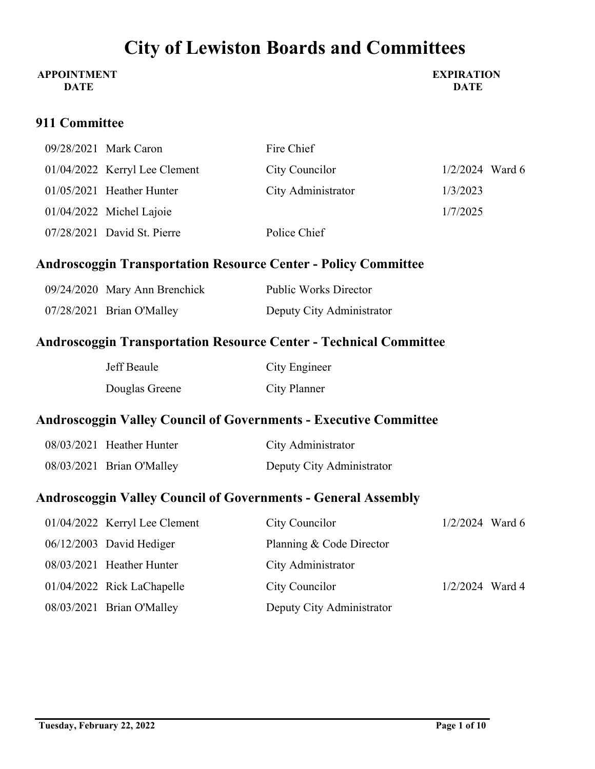### **APPOINTMENT DATE**

**EXPIRATION DATE**

### **911 Committee**

| 09/28/2021 Mark Caron           | Fire Chief         |                   |
|---------------------------------|--------------------|-------------------|
| $01/04/2022$ Kerryl Lee Clement | City Councilor     | $1/2/2024$ Ward 6 |
| $01/05/2021$ Heather Hunter     | City Administrator | 1/3/2023          |
| $01/04/2022$ Michel Lajoie      |                    | 1/7/2025          |
| 07/28/2021 David St. Pierre     | Police Chief       |                   |

## **Androscoggin Transportation Resource Center - Policy Committee**

| 09/24/2020 Mary Ann Brenchick | <b>Public Works Director</b> |
|-------------------------------|------------------------------|
| 07/28/2021 Brian O'Malley     | Deputy City Administrator    |

## **Androscoggin Transportation Resource Center - Technical Committee**

| Jeff Beaule    | City Engineer |
|----------------|---------------|
| Douglas Greene | City Planner  |

## **Androscoggin Valley Council of Governments - Executive Committee**

| 08/03/2021 Heather Hunter | City Administrator        |
|---------------------------|---------------------------|
| 08/03/2021 Brian O'Malley | Deputy City Administrator |

## **Androscoggin Valley Council of Governments - General Assembly**

| 01/04/2022 Kerryl Lee Clement | City Councilor            | $1/2/2024$ Ward 6 |  |
|-------------------------------|---------------------------|-------------------|--|
| $06/12/2003$ David Hediger    | Planning & Code Director  |                   |  |
| 08/03/2021 Heather Hunter     | City Administrator        |                   |  |
| 01/04/2022 Rick LaChapelle    | City Councilor            | $1/2/2024$ Ward 4 |  |
| 08/03/2021 Brian O'Malley     | Deputy City Administrator |                   |  |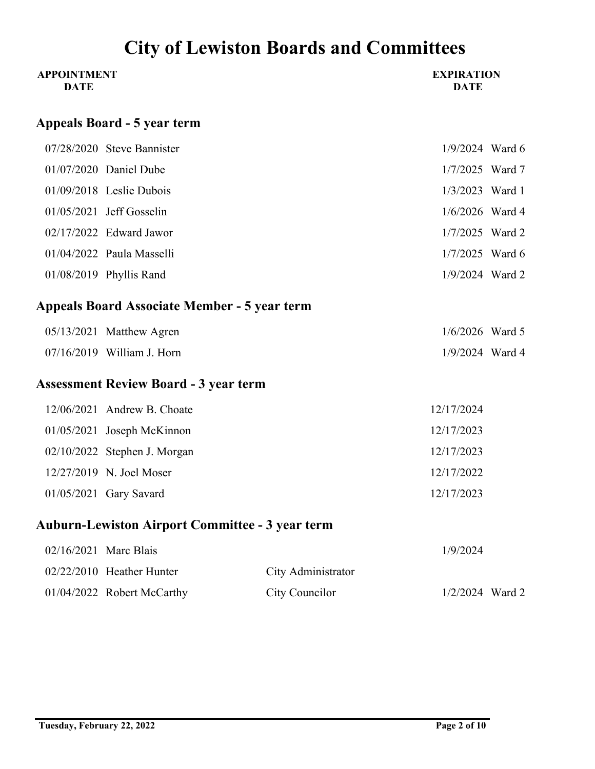| <b>APPOINTMENT</b><br><b>DATE</b> |                                                        |                    | <b>EXPIRATION</b><br><b>DATE</b> |  |  |
|-----------------------------------|--------------------------------------------------------|--------------------|----------------------------------|--|--|
|                                   | <b>Appeals Board - 5 year term</b>                     |                    |                                  |  |  |
|                                   | 07/28/2020 Steve Bannister                             |                    | $1/9/2024$ Ward 6                |  |  |
|                                   | 01/07/2020 Daniel Dube                                 |                    | 1/7/2025 Ward 7                  |  |  |
|                                   | 01/09/2018 Leslie Dubois                               |                    | 1/3/2023 Ward 1                  |  |  |
|                                   | 01/05/2021 Jeff Gosselin                               |                    | 1/6/2026 Ward 4                  |  |  |
|                                   | 02/17/2022 Edward Jawor                                |                    | 1/7/2025 Ward 2                  |  |  |
|                                   | 01/04/2022 Paula Masselli                              |                    | $1/7/2025$ Ward 6                |  |  |
|                                   | 01/08/2019 Phyllis Rand                                |                    | 1/9/2024 Ward 2                  |  |  |
|                                   | <b>Appeals Board Associate Member - 5 year term</b>    |                    |                                  |  |  |
|                                   | 05/13/2021 Matthew Agren                               |                    | $1/6/2026$ Ward 5                |  |  |
|                                   | 07/16/2019 William J. Horn                             |                    | 1/9/2024 Ward 4                  |  |  |
|                                   | <b>Assessment Review Board - 3 year term</b>           |                    |                                  |  |  |
|                                   | 12/06/2021 Andrew B. Choate                            |                    | 12/17/2024                       |  |  |
|                                   | 01/05/2021 Joseph McKinnon                             |                    | 12/17/2023                       |  |  |
|                                   | 02/10/2022 Stephen J. Morgan                           |                    | 12/17/2023                       |  |  |
|                                   | 12/27/2019 N. Joel Moser                               |                    | 12/17/2022                       |  |  |
|                                   | 01/05/2021 Gary Savard                                 |                    | 12/17/2023                       |  |  |
|                                   | <b>Auburn-Lewiston Airport Committee - 3 year term</b> |                    |                                  |  |  |
| 02/16/2021 Marc Blais             |                                                        |                    | 1/9/2024                         |  |  |
|                                   | 02/22/2010 Heather Hunter                              | City Administrator |                                  |  |  |

01/04/2022 Robert McCarthy City Councilor 1/2/2024 Ward 2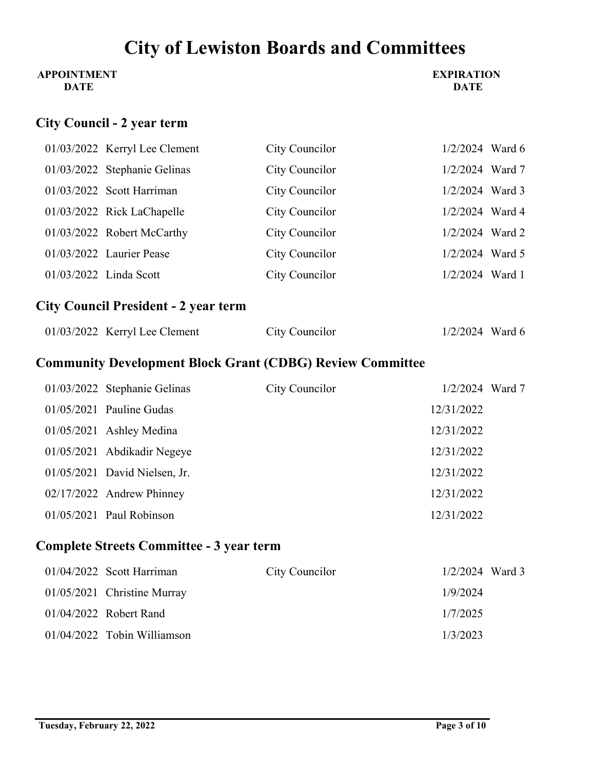### **APPOINTMENT DATE**

### **EXPIRATION DATE**

# **City Council - 2 year term**

|  | 01/03/2022 Kerryl Lee Clement | City Councilor | $1/2/2024$ Ward 6 |  |
|--|-------------------------------|----------------|-------------------|--|
|  | 01/03/2022 Stephanie Gelinas  | City Councilor | 1/2/2024 Ward 7   |  |
|  | $01/03/2022$ Scott Harriman   | City Councilor | 1/2/2024 Ward 3   |  |
|  | 01/03/2022 Rick LaChapelle    | City Councilor | 1/2/2024 Ward 4   |  |
|  | 01/03/2022 Robert McCarthy    | City Councilor | $1/2/2024$ Ward 2 |  |
|  | 01/03/2022 Laurier Pease      | City Councilor | $1/2/2024$ Ward 5 |  |
|  | 01/03/2022 Linda Scott        | City Councilor | $1/2/2024$ Ward 1 |  |

# **City Council President - 2 year term**

| $01/03/2022$ Kerryl Lee Clement | City Councilor | $1/2/2024$ Ward 6 |
|---------------------------------|----------------|-------------------|
|---------------------------------|----------------|-------------------|

## **Community Development Block Grant (CDBG) Review Committee**

| 01/03/2022 Stephanie Gelinas    | City Councilor | $1/2/2024$ Ward 7 |  |
|---------------------------------|----------------|-------------------|--|
| $01/05/2021$ Pauline Gudas      |                | 12/31/2022        |  |
| $01/05/2021$ Ashley Medina      |                | 12/31/2022        |  |
| 01/05/2021 Abdikadir Negeye     |                | 12/31/2022        |  |
| $01/05/2021$ David Nielsen, Jr. |                | 12/31/2022        |  |
| 02/17/2022 Andrew Phinney       |                | 12/31/2022        |  |
| $01/05/2021$ Paul Robinson      |                | 12/31/2022        |  |

## **Complete Streets Committee - 3 year term**

| $01/04/2022$ Scott Harriman   | City Councilor | $1/2/2024$ Ward 3 |  |
|-------------------------------|----------------|-------------------|--|
| 01/05/2021 Christine Murray   |                | 1/9/2024          |  |
| $01/04/2022$ Robert Rand      |                | 1/7/2025          |  |
| $01/04/2022$ Tobin Williamson |                | 1/3/2023          |  |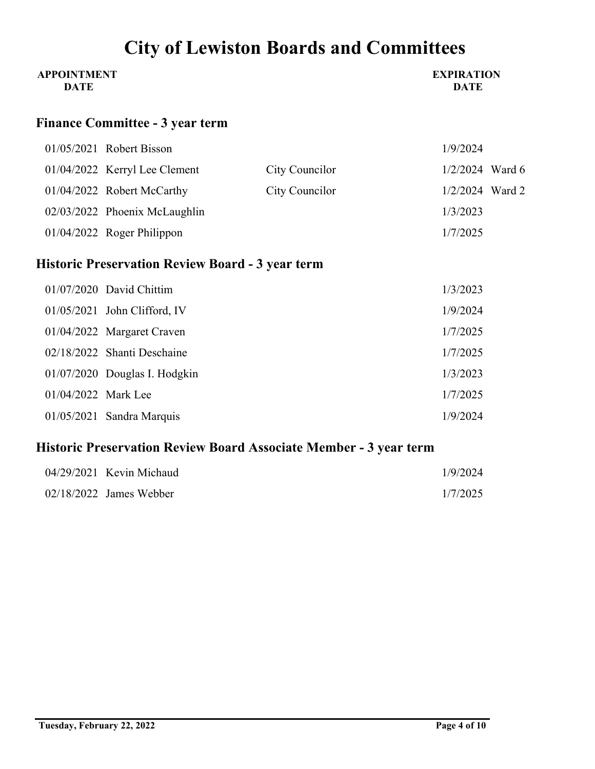| <b>APPOINTMENT</b> | <b>EXPIRATION</b> |
|--------------------|-------------------|
| <b>DATE</b>        | <b>DATE</b>       |

## **Finance Committee - 3 year term**

|  | $01/05/2021$ Robert Bisson      |                | 1/9/2024          |  |
|--|---------------------------------|----------------|-------------------|--|
|  | $01/04/2022$ Kerryl Lee Clement | City Councilor | $1/2/2024$ Ward 6 |  |
|  | 01/04/2022 Robert McCarthy      | City Councilor | $1/2/2024$ Ward 2 |  |
|  | 02/03/2022 Phoenix McLaughlin   |                | 1/3/2023          |  |
|  | $01/04/2022$ Roger Philippon    |                | 1/7/2025          |  |

# **Historic Preservation Review Board - 3 year term**

|                     | 01/07/2020 David Chittim       | 1/3/2023 |
|---------------------|--------------------------------|----------|
|                     | $01/05/2021$ John Clifford, IV | 1/9/2024 |
|                     | 01/04/2022 Margaret Craven     | 1/7/2025 |
|                     | 02/18/2022 Shanti Deschaine    | 1/7/2025 |
|                     | 01/07/2020 Douglas I. Hodgkin  | 1/3/2023 |
| 01/04/2022 Mark Lee |                                | 1/7/2025 |
|                     | $01/05/2021$ Sandra Marquis    | 1/9/2024 |

# **Historic Preservation Review Board Associate Member - 3 year term**

| $04/29/2021$ Kevin Michaud | 1/9/2024 |
|----------------------------|----------|
| $02/18/2022$ James Webber  | 1/7/2025 |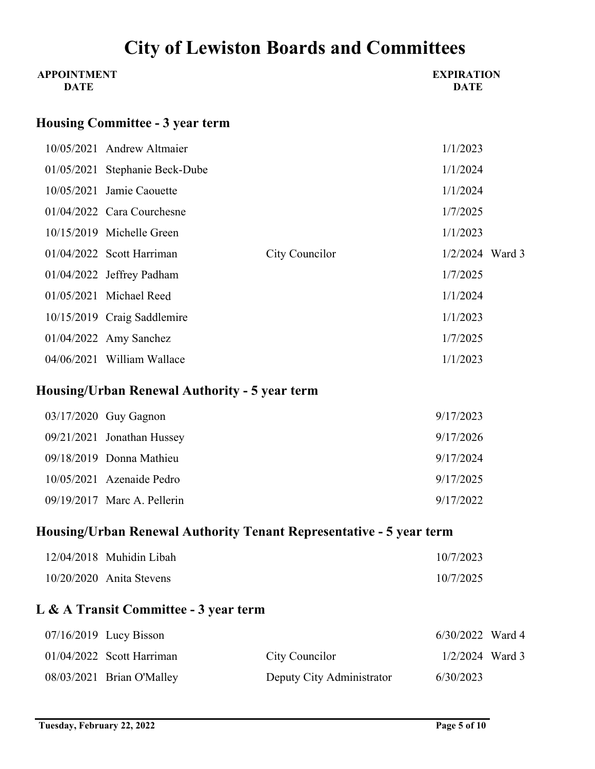| <b>City of Lewiston Boards and Committees</b> |                                               |                                                                     |                                  |  |  |
|-----------------------------------------------|-----------------------------------------------|---------------------------------------------------------------------|----------------------------------|--|--|
| <b>APPOINTMENT</b><br><b>DATE</b>             |                                               |                                                                     | <b>EXPIRATION</b><br><b>DATE</b> |  |  |
|                                               | <b>Housing Committee - 3 year term</b>        |                                                                     |                                  |  |  |
|                                               | 10/05/2021 Andrew Altmaier                    |                                                                     | 1/1/2023                         |  |  |
|                                               | 01/05/2021 Stephanie Beck-Dube                |                                                                     | 1/1/2024                         |  |  |
|                                               | 10/05/2021 Jamie Caouette                     |                                                                     | 1/1/2024                         |  |  |
|                                               | 01/04/2022 Cara Courchesne                    |                                                                     | 1/7/2025                         |  |  |
|                                               | 10/15/2019 Michelle Green                     |                                                                     | 1/1/2023                         |  |  |
|                                               | 01/04/2022 Scott Harriman                     | City Councilor                                                      | 1/2/2024 Ward 3                  |  |  |
|                                               | 01/04/2022 Jeffrey Padham                     |                                                                     | 1/7/2025                         |  |  |
|                                               | 01/05/2021 Michael Reed                       |                                                                     | 1/1/2024                         |  |  |
|                                               | 10/15/2019 Craig Saddlemire                   |                                                                     | 1/1/2023                         |  |  |
|                                               | 01/04/2022 Amy Sanchez                        |                                                                     | 1/7/2025                         |  |  |
|                                               | 04/06/2021 William Wallace                    |                                                                     | 1/1/2023                         |  |  |
|                                               | Housing/Urban Renewal Authority - 5 year term |                                                                     |                                  |  |  |
|                                               | 03/17/2020 Guy Gagnon                         |                                                                     | 9/17/2023                        |  |  |
|                                               | 09/21/2021 Jonathan Hussey                    |                                                                     | 9/17/2026                        |  |  |
|                                               | 09/18/2019 Donna Mathieu                      |                                                                     | 9/17/2024                        |  |  |
|                                               | 10/05/2021 Azenaide Pedro                     |                                                                     | 9/17/2025                        |  |  |
|                                               | 09/19/2017 Marc A. Pellerin                   |                                                                     | 9/17/2022                        |  |  |
|                                               |                                               | Housing/Urban Renewal Authority Tenant Representative - 5 year term |                                  |  |  |
|                                               | 12/04/2018 Muhidin Libah                      |                                                                     | 10/7/2023                        |  |  |
|                                               | 10/20/2020 Anita Stevens                      |                                                                     | 10/7/2025                        |  |  |
|                                               | L & A Transit Committee - 3 year term         |                                                                     |                                  |  |  |

| $07/16/2019$ Lucy Bisson    |                           | $6/30/2022$ Ward 4 |  |
|-----------------------------|---------------------------|--------------------|--|
| $01/04/2022$ Scott Harriman | City Councilor            | $1/2/2024$ Ward 3  |  |
| $08/03/2021$ Brian O'Malley | Deputy City Administrator | 6/30/2023          |  |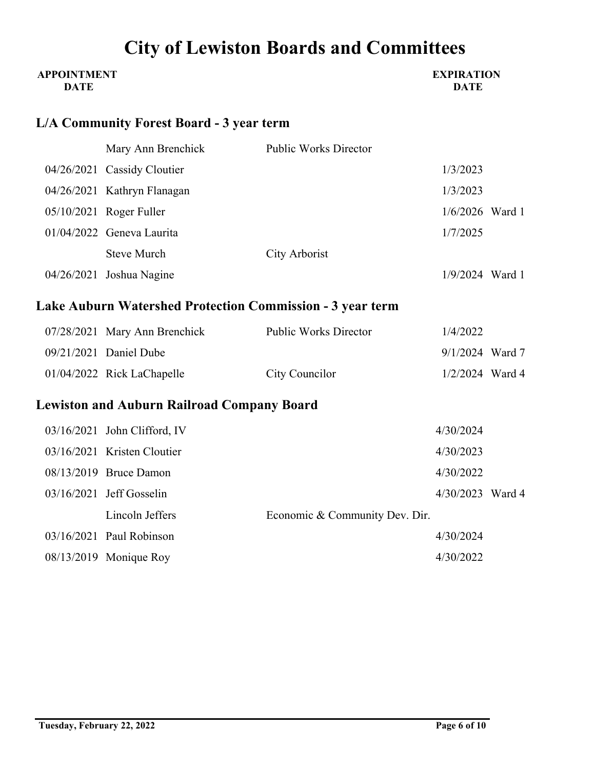### **APPOINTMENT DATE**

#### **EXPIRATION DATE**

# **L/A Community Forest Board - 3 year term**

| Mary Ann Brenchick                                               | <b>Public Works Director</b>   |                   |  |
|------------------------------------------------------------------|--------------------------------|-------------------|--|
| 04/26/2021 Cassidy Cloutier                                      |                                | 1/3/2023          |  |
| 04/26/2021 Kathryn Flanagan                                      |                                | 1/3/2023          |  |
| 05/10/2021 Roger Fuller                                          |                                | 1/6/2026 Ward 1   |  |
| 01/04/2022 Geneva Laurita                                        |                                | 1/7/2025          |  |
| <b>Steve Murch</b>                                               | City Arborist                  |                   |  |
| 04/26/2021 Joshua Nagine                                         |                                | $1/9/2024$ Ward 1 |  |
| <b>Lake Auburn Watershed Protection Commission - 3 year term</b> |                                |                   |  |
| 07/28/2021 Mary Ann Brenchick                                    | <b>Public Works Director</b>   | 1/4/2022          |  |
| 09/21/2021 Daniel Dube                                           |                                | $9/1/2024$ Ward 7 |  |
| 01/04/2022 Rick LaChapelle                                       | City Councilor                 | $1/2/2024$ Ward 4 |  |
| <b>Lewiston and Auburn Railroad Company Board</b>                |                                |                   |  |
| 03/16/2021 John Clifford, IV                                     |                                | 4/30/2024         |  |
| 03/16/2021 Kristen Cloutier                                      |                                | 4/30/2023         |  |
| 08/13/2019 Bruce Damon                                           |                                | 4/30/2022         |  |
| 03/16/2021 Jeff Gosselin                                         |                                | 4/30/2023 Ward 4  |  |
| Lincoln Jeffers                                                  | Economic & Community Dev. Dir. |                   |  |
| 03/16/2021 Paul Robinson                                         |                                | 4/30/2024         |  |

08/13/2019 Monique Roy 4/30/2022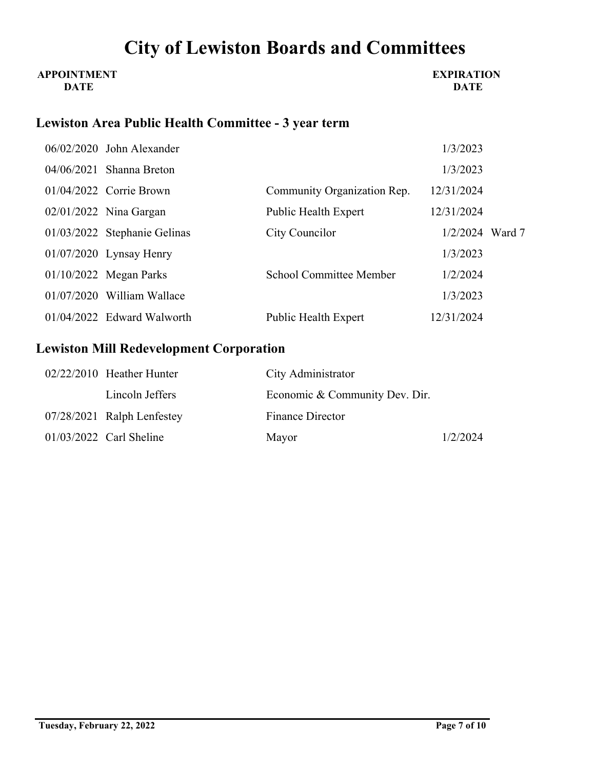### **APPOINTMENT DATE**

### **EXPIRATION DATE**

## **Lewiston Area Public Health Committee - 3 year term**

|  | 06/02/2020 John Alexander    |                                | 1/3/2023          |  |
|--|------------------------------|--------------------------------|-------------------|--|
|  | $04/06/2021$ Shanna Breton   |                                | 1/3/2023          |  |
|  | $01/04/2022$ Corrie Brown    | Community Organization Rep.    | 12/31/2024        |  |
|  | $02/01/2022$ Nina Gargan     | <b>Public Health Expert</b>    | 12/31/2024        |  |
|  | 01/03/2022 Stephanie Gelinas | City Councilor                 | $1/2/2024$ Ward 7 |  |
|  | $01/07/2020$ Lynsay Henry    |                                | 1/3/2023          |  |
|  | $01/10/2022$ Megan Parks     | <b>School Committee Member</b> | 1/2/2024          |  |
|  | $01/07/2020$ William Wallace |                                | 1/3/2023          |  |
|  | $01/04/2022$ Edward Walworth | Public Health Expert           | 12/31/2024        |  |

## **Lewiston Mill Redevelopment Corporation**

| $02/22/2010$ Heather Hunter | City Administrator             |          |
|-----------------------------|--------------------------------|----------|
| Lincoln Jeffers             | Economic & Community Dev. Dir. |          |
| 07/28/2021 Ralph Lenfestey  | <b>Finance Director</b>        |          |
| $01/03/2022$ Carl Sheline   | Mayor                          | 1/2/2024 |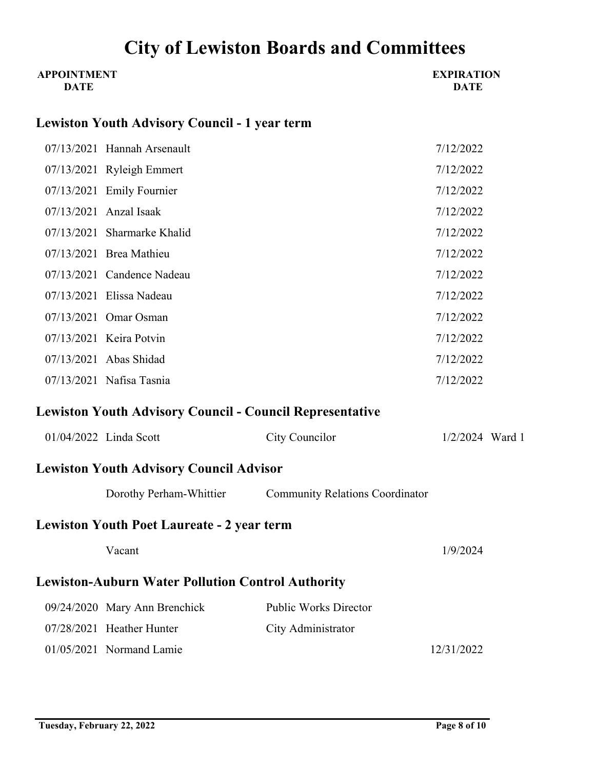| <b>APPOINTMENT</b><br><b>DATE</b> |                                                                 |                                                         | <b>EXPIRATION</b><br><b>DATE</b> |
|-----------------------------------|-----------------------------------------------------------------|---------------------------------------------------------|----------------------------------|
|                                   | <b>Lewiston Youth Advisory Council - 1 year term</b>            |                                                         |                                  |
|                                   | 07/13/2021 Hannah Arsenault                                     |                                                         | 7/12/2022                        |
|                                   | 07/13/2021 Ryleigh Emmert                                       |                                                         | 7/12/2022                        |
|                                   | 07/13/2021 Emily Fournier                                       |                                                         | 7/12/2022                        |
|                                   | 07/13/2021 Anzal Isaak                                          |                                                         | 7/12/2022                        |
|                                   | 07/13/2021 Sharmarke Khalid                                     |                                                         | 7/12/2022                        |
|                                   | 07/13/2021 Brea Mathieu                                         |                                                         | 7/12/2022                        |
|                                   | 07/13/2021 Candence Nadeau                                      |                                                         | 7/12/2022                        |
|                                   | 07/13/2021 Elissa Nadeau                                        |                                                         | 7/12/2022                        |
|                                   | 07/13/2021 Omar Osman                                           |                                                         | 7/12/2022                        |
|                                   | 07/13/2021 Keira Potvin                                         |                                                         | 7/12/2022                        |
|                                   | 07/13/2021 Abas Shidad                                          |                                                         | 7/12/2022                        |
|                                   | 07/13/2021 Nafisa Tasnia                                        |                                                         | 7/12/2022                        |
|                                   | <b>Lewiston Youth Advisory Council - Council Representative</b> |                                                         |                                  |
|                                   | 01/04/2022 Linda Scott                                          | City Councilor                                          | $1/2/2024$ Ward 1                |
|                                   | <b>Lewiston Youth Advisory Council Advisor</b>                  |                                                         |                                  |
|                                   |                                                                 | Dorothy Perham-Whittier Community Relations Coordinator |                                  |
|                                   | <b>Lewiston Youth Poet Laureate - 2 year term</b>               |                                                         |                                  |
|                                   | Vacant                                                          |                                                         | 1/9/2024                         |
|                                   | <b>Lewiston-Auburn Water Pollution Control Authority</b>        |                                                         |                                  |
|                                   | 09/24/2020 Mary Ann Brenchick                                   | <b>Public Works Director</b>                            |                                  |
|                                   | 07/28/2021 Heather Hunter                                       | City Administrator                                      |                                  |
|                                   | 01/05/2021 Normand Lamie                                        |                                                         | 12/31/2022                       |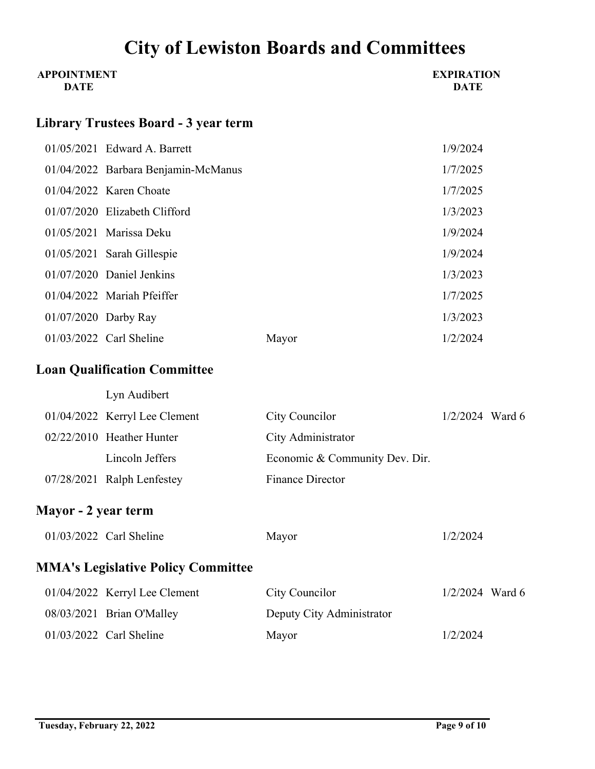| <b>APPOINTMENT</b><br><b>DATE</b> |                                             |                                | <b>EXPIRATION</b><br><b>DATE</b> |  |
|-----------------------------------|---------------------------------------------|--------------------------------|----------------------------------|--|
|                                   | <b>Library Trustees Board - 3 year term</b> |                                |                                  |  |
|                                   | 01/05/2021 Edward A. Barrett                |                                | 1/9/2024                         |  |
|                                   | 01/04/2022 Barbara Benjamin-McManus         |                                | 1/7/2025                         |  |
|                                   | 01/04/2022 Karen Choate                     |                                | 1/7/2025                         |  |
|                                   | 01/07/2020 Elizabeth Clifford               |                                | 1/3/2023                         |  |
|                                   | 01/05/2021 Marissa Deku                     |                                | 1/9/2024                         |  |
|                                   | 01/05/2021 Sarah Gillespie                  |                                | 1/9/2024                         |  |
|                                   | 01/07/2020 Daniel Jenkins                   |                                | 1/3/2023                         |  |
|                                   | 01/04/2022 Mariah Pfeiffer                  |                                | 1/7/2025                         |  |
| 01/07/2020 Darby Ray              |                                             |                                | 1/3/2023                         |  |
|                                   | 01/03/2022 Carl Sheline                     | Mayor                          | 1/2/2024                         |  |
|                                   | <b>Loan Qualification Committee</b>         |                                |                                  |  |
|                                   | Lyn Audibert                                |                                |                                  |  |
|                                   | 01/04/2022 Kerryl Lee Clement               | City Councilor                 | $1/2/2024$ Ward 6                |  |
|                                   | 02/22/2010 Heather Hunter                   | City Administrator             |                                  |  |
|                                   | Lincoln Jeffers                             | Economic & Community Dev. Dir. |                                  |  |
|                                   | 07/28/2021 Ralph Lenfestey                  | <b>Finance Director</b>        |                                  |  |
| Mayor - 2 year term               |                                             |                                |                                  |  |
|                                   | 01/03/2022 Carl Sheline                     | Mayor                          | 1/2/2024                         |  |
|                                   | <b>MMA's Legislative Policy Committee</b>   |                                |                                  |  |
|                                   | 01/04/2022 Kerryl Lee Clement               | City Councilor                 | $1/2/2024$ Ward 6                |  |
|                                   | 08/03/2021 Brian O'Malley                   | Deputy City Administrator      |                                  |  |
|                                   | 01/03/2022 Carl Sheline                     | Mayor                          | 1/2/2024                         |  |